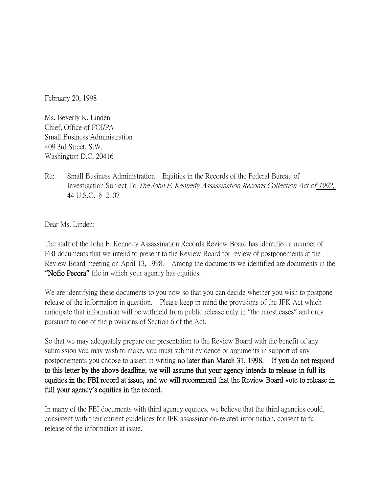February 20, 1998

Ms. Beverly K. Linden Chief, Office of FOI/PA Small Business Administration 409 3rd Street, S.W. Washington D.C. 20416

Re: Small Business Administration Equities in the Records of the Federal Bureau of Investigation Subject To The John F. Kennedy Assassination Records Collection Act of 1992, 44 U.S.C. § 2107

Dear Ms. Linden:

The staff of the John F. Kennedy Assassination Records Review Board has identified a number of FBI documents that we intend to present to the Review Board for review of postponements at the Review Board meeting on April 13, 1998. Among the documents we identified are documents in the **"**Nofio Pecora**"** file in which your agency has equities.

We are identifying these documents to you now so that you can decide whether you wish to postpone release of the information in question. Please keep in mind the provisions of the JFK Act which anticipate that information will be withheld from public release only in "the rarest cases" and only pursuant to one of the provisions of Section 6 of the Act.

So that we may adequately prepare our presentation to the Review Board with the benefit of any submission you may wish to make, you must submit evidence or arguments in support of any postponements you choose to assert in writing no later than March 31, 1998. If you do not respond to this letter by the above deadline, we will assume that your agency intends to release in full its equities in the FBI record at issue, and we will recommend that the Review Board vote to release in full your agency**'**s equities in the record.

In many of the FBI documents with third agency equities, we believe that the third agencies could, consistent with their current guidelines for JFK assassination-related information, consent to full release of the information at issue.